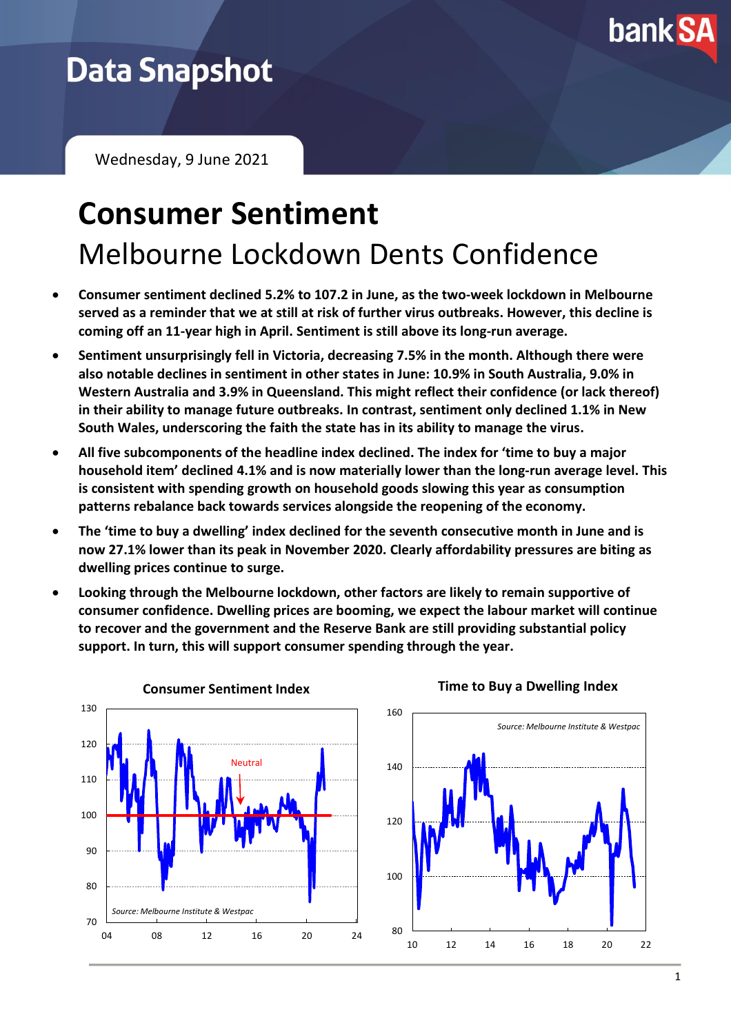

# **Data Snapshot**

Wednesday, 9 June 2021

# **Consumer Sentiment** Melbourne Lockdown Dents Confidence

- **Consumer sentiment declined 5.2% to 107.2 in June, as the two-week lockdown in Melbourne served as a reminder that we at still at risk of further virus outbreaks. However, this decline is coming off an 11-year high in April. Sentiment is still above its long-run average.**
- **Sentiment unsurprisingly fell in Victoria, decreasing 7.5% in the month. Although there were also notable declines in sentiment in other states in June: 10.9% in South Australia, 9.0% in Western Australia and 3.9% in Queensland. This might reflect their confidence (or lack thereof) in their ability to manage future outbreaks. In contrast, sentiment only declined 1.1% in New South Wales, underscoring the faith the state has in its ability to manage the virus.**
- **All five subcomponents of the headline index declined. The index for 'time to buy a major household item' declined 4.1% and is now materially lower than the long-run average level. This is consistent with spending growth on household goods slowing this year as consumption patterns rebalance back towards services alongside the reopening of the economy.**
- **The 'time to buy a dwelling' index declined for the seventh consecutive month in June and is now 27.1% lower than its peak in November 2020. Clearly affordability pressures are biting as dwelling prices continue to surge.**
- **Looking through the Melbourne lockdown, other factors are likely to remain supportive of consumer confidence. Dwelling prices are booming, we expect the labour market will continue to recover and the government and the Reserve Bank are still providing substantial policy support. In turn, this will support consumer spending through the year.**

**Consumer Sentiment Index**



**Time to Buy a Dwelling Index**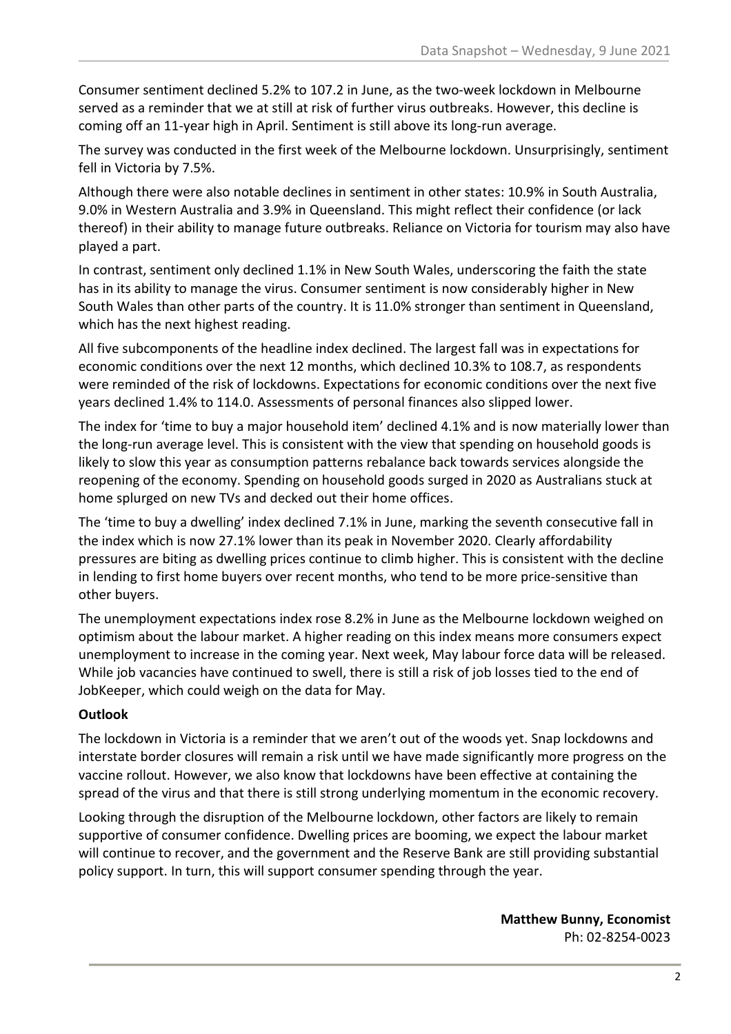Consumer sentiment declined 5.2% to 107.2 in June, as the two-week lockdown in Melbourne served as a reminder that we at still at risk of further virus outbreaks. However, this decline is coming off an 11-year high in April. Sentiment is still above its long-run average.

The survey was conducted in the first week of the Melbourne lockdown. Unsurprisingly, sentiment fell in Victoria by 7.5%.

Although there were also notable declines in sentiment in other states: 10.9% in South Australia, 9.0% in Western Australia and 3.9% in Queensland. This might reflect their confidence (or lack thereof) in their ability to manage future outbreaks. Reliance on Victoria for tourism may also have played a part.

In contrast, sentiment only declined 1.1% in New South Wales, underscoring the faith the state has in its ability to manage the virus. Consumer sentiment is now considerably higher in New South Wales than other parts of the country. It is 11.0% stronger than sentiment in Queensland, which has the next highest reading.

All five subcomponents of the headline index declined. The largest fall was in expectations for economic conditions over the next 12 months, which declined 10.3% to 108.7, as respondents were reminded of the risk of lockdowns. Expectations for economic conditions over the next five years declined 1.4% to 114.0. Assessments of personal finances also slipped lower.

The index for 'time to buy a major household item' declined 4.1% and is now materially lower than the long-run average level. This is consistent with the view that spending on household goods is likely to slow this year as consumption patterns rebalance back towards services alongside the reopening of the economy. Spending on household goods surged in 2020 as Australians stuck at home splurged on new TVs and decked out their home offices.

The 'time to buy a dwelling' index declined 7.1% in June, marking the seventh consecutive fall in the index which is now 27.1% lower than its peak in November 2020. Clearly affordability pressures are biting as dwelling prices continue to climb higher. This is consistent with the decline in lending to first home buyers over recent months, who tend to be more price-sensitive than other buyers.

The unemployment expectations index rose 8.2% in June as the Melbourne lockdown weighed on optimism about the labour market. A higher reading on this index means more consumers expect unemployment to increase in the coming year. Next week, May labour force data will be released. While job vacancies have continued to swell, there is still a risk of job losses tied to the end of JobKeeper, which could weigh on the data for May.

### **Outlook**

The lockdown in Victoria is a reminder that we aren't out of the woods yet. Snap lockdowns and interstate border closures will remain a risk until we have made significantly more progress on the vaccine rollout. However, we also know that lockdowns have been effective at containing the spread of the virus and that there is still strong underlying momentum in the economic recovery.

Looking through the disruption of the Melbourne lockdown, other factors are likely to remain supportive of consumer confidence. Dwelling prices are booming, we expect the labour market will continue to recover, and the government and the Reserve Bank are still providing substantial policy support. In turn, this will support consumer spending through the year.

> **Matthew Bunny, Economist** Ph: 02-8254-0023